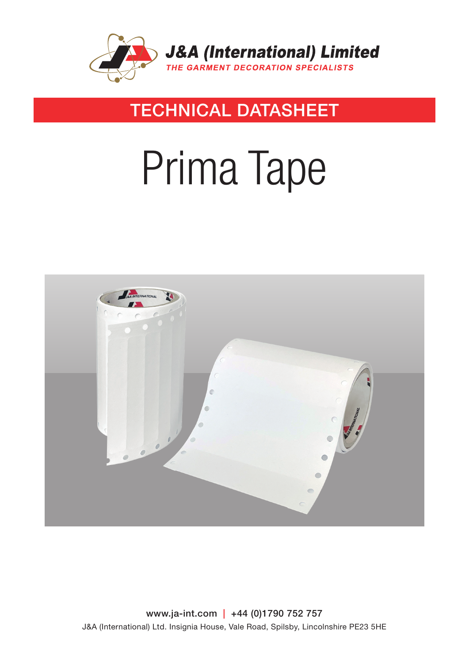

### TECHNICAL DATASHEET

# Prima Tape



www.ja-int.com | +44 (0)1790 752 757 J&A (International) Ltd. Insignia House, Vale Road, Spilsby, Lincolnshire PE23 5HE